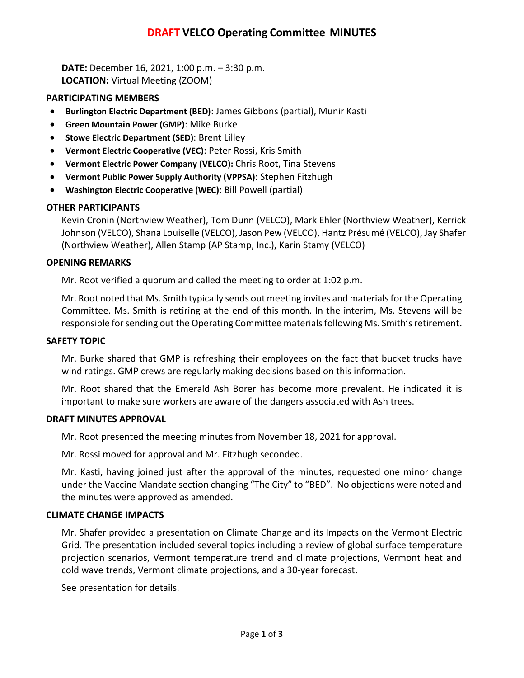# **DRAFT VELCO Operating Committee MINUTES**

**DATE:** December 16, 2021, 1:00 p.m. – 3:30 p.m. **LOCATION:** Virtual Meeting (ZOOM)

## **PARTICIPATING MEMBERS**

- **Burlington Electric Department (BED)**: James Gibbons (partial), Munir Kasti
- **Green Mountain Power (GMP)**: Mike Burke
- **Stowe Electric Department (SED)**: Brent Lilley
- **Vermont Electric Cooperative (VEC)**: Peter Rossi, Kris Smith
- **Vermont Electric Power Company (VELCO):** Chris Root, Tina Stevens
- **Vermont Public Power Supply Authority (VPPSA)**: Stephen Fitzhugh
- **Washington Electric Cooperative (WEC)**: Bill Powell (partial)

## **OTHER PARTICIPANTS**

Kevin Cronin (Northview Weather), Tom Dunn (VELCO), Mark Ehler (Northview Weather), Kerrick Johnson (VELCO), Shana Louiselle (VELCO), Jason Pew (VELCO), Hantz Présumé (VELCO), Jay Shafer (Northview Weather), Allen Stamp (AP Stamp, Inc.), Karin Stamy (VELCO)

### **OPENING REMARKS**

Mr. Root verified a quorum and called the meeting to order at 1:02 p.m.

Mr. Root noted that Ms. Smith typically sends out meeting invites and materials for the Operating Committee. Ms. Smith is retiring at the end of this month. In the interim, Ms. Stevens will be responsible for sending out the Operating Committee materials following Ms. Smith's retirement.

#### **SAFETY TOPIC**

Mr. Burke shared that GMP is refreshing their employees on the fact that bucket trucks have wind ratings. GMP crews are regularly making decisions based on this information.

Mr. Root shared that the Emerald Ash Borer has become more prevalent. He indicated it is important to make sure workers are aware of the dangers associated with Ash trees.

#### **DRAFT MINUTES APPROVAL**

Mr. Root presented the meeting minutes from November 18, 2021 for approval.

Mr. Rossi moved for approval and Mr. Fitzhugh seconded.

Mr. Kasti, having joined just after the approval of the minutes, requested one minor change under the Vaccine Mandate section changing "The City" to "BED". No objections were noted and the minutes were approved as amended.

#### **CLIMATE CHANGE IMPACTS**

Mr. Shafer provided a presentation on Climate Change and its Impacts on the Vermont Electric Grid. The presentation included several topics including a review of global surface temperature projection scenarios, Vermont temperature trend and climate projections, Vermont heat and cold wave trends, Vermont climate projections, and a 30-year forecast.

See presentation for details.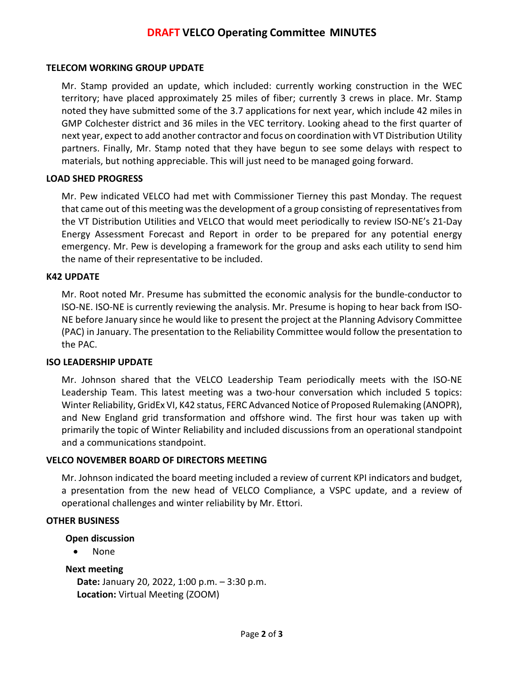# **DRAFT VELCO Operating Committee MINUTES**

### **TELECOM WORKING GROUP UPDATE**

Mr. Stamp provided an update, which included: currently working construction in the WEC territory; have placed approximately 25 miles of fiber; currently 3 crews in place. Mr. Stamp noted they have submitted some of the 3.7 applications for next year, which include 42 miles in GMP Colchester district and 36 miles in the VEC territory. Looking ahead to the first quarter of next year, expect to add another contractor and focus on coordination with VT Distribution Utility partners. Finally, Mr. Stamp noted that they have begun to see some delays with respect to materials, but nothing appreciable. This will just need to be managed going forward.

### **LOAD SHED PROGRESS**

Mr. Pew indicated VELCO had met with Commissioner Tierney this past Monday. The request that came out of this meeting was the development of a group consisting of representatives from the VT Distribution Utilities and VELCO that would meet periodically to review ISO-NE's 21-Day Energy Assessment Forecast and Report in order to be prepared for any potential energy emergency. Mr. Pew is developing a framework for the group and asks each utility to send him the name of their representative to be included.

#### **K42 UPDATE**

Mr. Root noted Mr. Presume has submitted the economic analysis for the bundle-conductor to ISO-NE. ISO-NE is currently reviewing the analysis. Mr. Presume is hoping to hear back from ISO-NE before January since he would like to present the project at the Planning Advisory Committee (PAC) in January. The presentation to the Reliability Committee would follow the presentation to the PAC.

#### **ISO LEADERSHIP UPDATE**

Mr. Johnson shared that the VELCO Leadership Team periodically meets with the ISO-NE Leadership Team. This latest meeting was a two-hour conversation which included 5 topics: Winter Reliability, GridEx VI, K42 status, FERC Advanced Notice of Proposed Rulemaking (ANOPR), and New England grid transformation and offshore wind. The first hour was taken up with primarily the topic of Winter Reliability and included discussions from an operational standpoint and a communications standpoint.

#### **VELCO NOVEMBER BOARD OF DIRECTORS MEETING**

Mr. Johnson indicated the board meeting included a review of current KPI indicators and budget, a presentation from the new head of VELCO Compliance, a VSPC update, and a review of operational challenges and winter reliability by Mr. Ettori.

#### **OTHER BUSINESS**

#### **Open discussion**

• None

#### **Next meeting**

**Date:** January 20, 2022, 1:00 p.m. – 3:30 p.m. **Location:** Virtual Meeting (ZOOM)